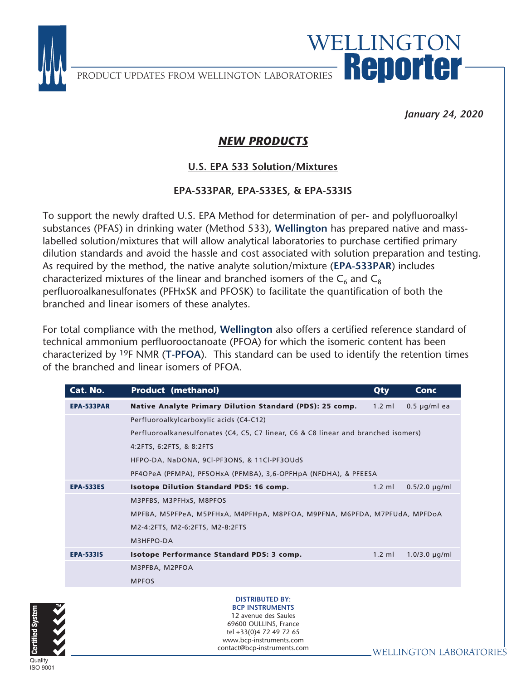

PRODUCT UPDATES FROM WELLINGTON LABORATORIES RODOMOMO

*January 24, 2020*

WELLINGTON

## *NEW PRODUCTS*

## U.S. EPA 533 Solution/Mixtures **U.S. EPA 533 Solution/Mixtures**

## **EPA-533PAR, EPA-533ES, & EPA-533IS**

To support the newly drafted U.S. EPA Method for determination of per- and polyfluoroalkyl substances (PFAS) in drinking water (Method 533), **Wellington** has prepared native and masslabelled solution/mixtures that will allow analytical laboratories to purchase certified primary dilution standards and avoid the hassle and cost associated with solution preparation and testing. As required by the method, the native analyte solution/mixture (**EPA-533PAR**) includes characterized mixtures of the linear and branched isomers of the  $C_6$  and  $C_8$ perfluoroalkanesulfonates (PFHxSK and PFOSK) to facilitate the quantification of both the branched and linear isomers of these analytes.

For total compliance with the method, **Wellington** also offers a certified reference standard of technical ammonium perfluorooctanoate (PFOA) for which the isomeric content has been characterized by 19F NMR (**T-PFOA**). This standard can be used to identify the retention times of the branched and linear isomers of PFOA.

| Cat. No.          | <b>Product (methanol)</b>                                                          | Qty              | <b>Conc</b>        |  |
|-------------------|------------------------------------------------------------------------------------|------------------|--------------------|--|
| <b>EPA-533PAR</b> | Native Analyte Primary Dilution Standard (PDS): 25 comp.                           | $1.2$ ml         | $0.5 \mu q/ml$ ea  |  |
|                   | Perfluoroalkylcarboxylic acids (C4-C12)                                            |                  |                    |  |
|                   | Perfluoroalkanesulfonates (C4, C5, C7 linear, C6 & C8 linear and branched isomers) |                  |                    |  |
|                   | 4:2FTS, 6:2FTS, & 8:2FTS                                                           |                  |                    |  |
|                   | HFPO-DA, NaDONA, 9CI-PF3ONS, & 11CI-PF3OUdS                                        |                  |                    |  |
|                   | PF4OPeA (PFMPA), PF5OHxA (PFMBA), 3,6-OPFHpA (NFDHA), & PFEESA                     |                  |                    |  |
| <b>EPA-533ES</b>  | <b>Isotope Dilution Standard PDS: 16 comp.</b>                                     | $1.2 \text{ ml}$ | $0.5/2.0 \mu q/ml$ |  |
|                   | M3PFBS, M3PFHxS, M8PFOS                                                            |                  |                    |  |
|                   | MPFBA, M5PFPeA, M5PFHxA, M4PFHpA, M8PFOA, M9PFNA, M6PFDA, M7PFUdA, MPFDoA          |                  |                    |  |
|                   | M2-4:2FTS, M2-6:2FTS, M2-8:2FTS                                                    |                  |                    |  |
|                   | M3HFPO-DA                                                                          |                  |                    |  |
| <b>EPA-5331S</b>  | <b>Isotope Performance Standard PDS: 3 comp.</b>                                   | $1.2$ ml         | $1.0/3.0 \mu q/ml$ |  |
|                   | M3PFBA, M2PFOA                                                                     |                  |                    |  |
|                   | <b>MPFOS</b>                                                                       |                  |                    |  |
|                   |                                                                                    |                  |                    |  |